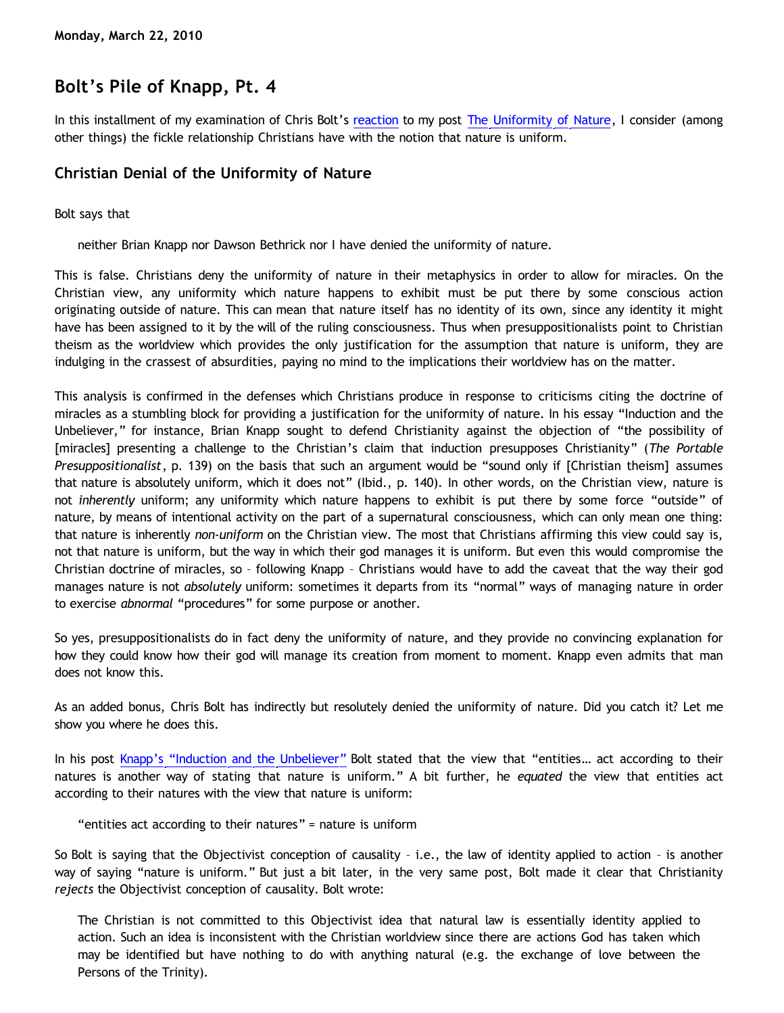## **Bolt's Pile of Knapp, Pt. 4**

In this installment of my examination of Chris Bolt's [reaction](http://www.choosinghats.com/?p=997) to my post [The Uniformity of Nature,](http://bahnsenburner.blogspot.com/2010/02/uniformity-of-nature.html) I consider (among other things) the fickle relationship Christians have with the notion that nature is uniform.

## **Christian Denial of the Uniformity of Nature**

Bolt says that

neither Brian Knapp nor Dawson Bethrick nor I have denied the uniformity of nature.

This is false. Christians deny the uniformity of nature in their metaphysics in order to allow for miracles. On the Christian view, any uniformity which nature happens to exhibit must be put there by some conscious action originating outside of nature. This can mean that nature itself has no identity of its own, since any identity it might have has been assigned to it by the will of the ruling consciousness. Thus when presuppositionalists point to Christian theism as the worldview which provides the only justification for the assumption that nature is uniform, they are indulging in the crassest of absurdities, paying no mind to the implications their worldview has on the matter.

This analysis is confirmed in the defenses which Christians produce in response to criticisms citing the doctrine of miracles as a stumbling block for providing a justification for the uniformity of nature. In his essay "Induction and the Unbeliever," for instance, Brian Knapp sought to defend Christianity against the objection of "the possibility of [miracles] presenting a challenge to the Christian's claim that induction presupposes Christianity" (*The Portable Presuppositionalist*, p. 139) on the basis that such an argument would be "sound only if [Christian theism] assumes that nature is absolutely uniform, which it does not" (Ibid., p. 140). In other words, on the Christian view, nature is not *inherently* uniform; any uniformity which nature happens to exhibit is put there by some force "outside" of nature, by means of intentional activity on the part of a supernatural consciousness, which can only mean one thing: that nature is inherently *non-uniform* on the Christian view. The most that Christians affirming this view could say is, not that nature is uniform, but the way in which their god manages it is uniform. But even this would compromise the Christian doctrine of miracles, so – following Knapp – Christians would have to add the caveat that the way their god manages nature is not *absolutely* uniform: sometimes it departs from its "normal" ways of managing nature in order to exercise *abnormal* "procedures" for some purpose or another.

So yes, presuppositionalists do in fact deny the uniformity of nature, and they provide no convincing explanation for how they could know how their god will manage its creation from moment to moment. Knapp even admits that man does not know this.

As an added bonus, Chris Bolt has indirectly but resolutely denied the uniformity of nature. Did you catch it? Let me show you where he does this.

In his post [Knapp's](http://www.choosinghats.com/?p=997) ["Induction and the Unbeliever"](http://www.choosinghats.com/?p=997) Bolt stated that the view that "entities... act according to their natures is another way of stating that nature is uniform." A bit further, he *equated* the view that entities act according to their natures with the view that nature is uniform:

"entities act according to their natures" = nature is uniform

So Bolt is saying that the Objectivist conception of causality – i.e., the law of identity applied to action – is another way of saying "nature is uniform." But just a bit later, in the very same post, Bolt made it clear that Christianity *rejects* the Objectivist conception of causality. Bolt wrote:

The Christian is not committed to this Objectivist idea that natural law is essentially identity applied to action. Such an idea is inconsistent with the Christian worldview since there are actions God has taken which may be identified but have nothing to do with anything natural (e.g. the exchange of love between the Persons of the Trinity).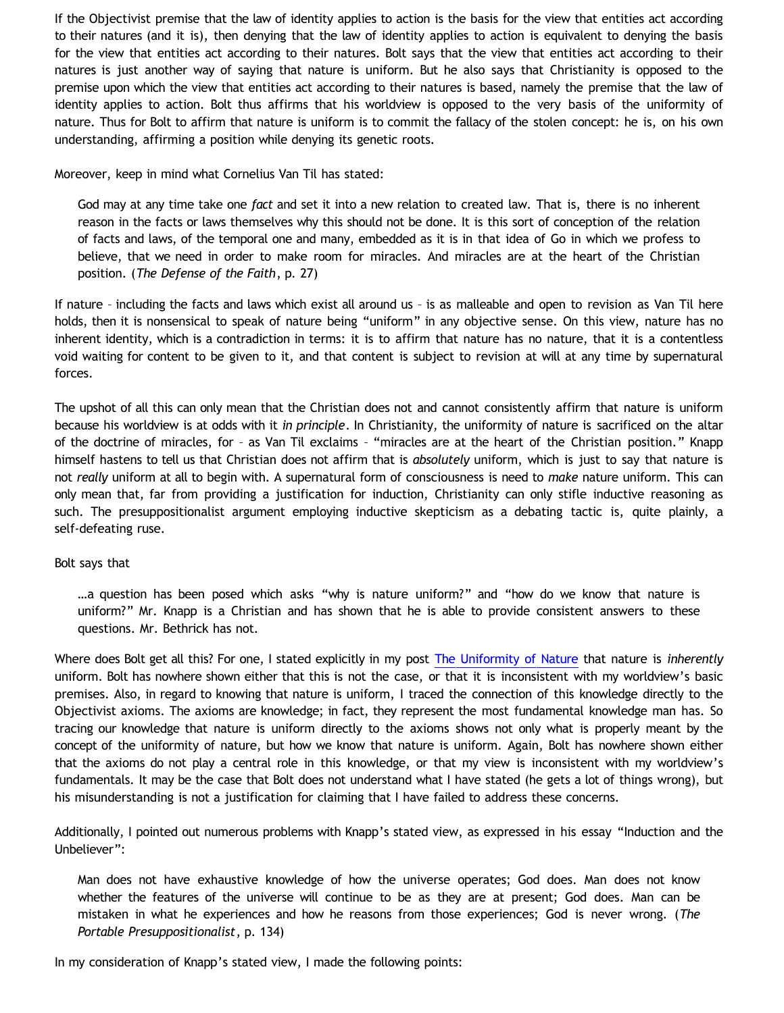If the Objectivist premise that the law of identity applies to action is the basis for the view that entities act according to their natures (and it is), then denying that the law of identity applies to action is equivalent to denying the basis for the view that entities act according to their natures. Bolt says that the view that entities act according to their natures is just another way of saying that nature is uniform. But he also says that Christianity is opposed to the premise upon which the view that entities act according to their natures is based, namely the premise that the law of identity applies to action. Bolt thus affirms that his worldview is opposed to the very basis of the uniformity of nature. Thus for Bolt to affirm that nature is uniform is to commit the fallacy of the stolen concept: he is, on his own understanding, affirming a position while denying its genetic roots.

Moreover, keep in mind what Cornelius Van Til has stated:

God may at any time take one *fact* and set it into a new relation to created law. That is, there is no inherent reason in the facts or laws themselves why this should not be done. It is this sort of conception of the relation of facts and laws, of the temporal one and many, embedded as it is in that idea of Go in which we profess to believe, that we need in order to make room for miracles. And miracles are at the heart of the Christian position. (*The Defense of the Faith*, p. 27)

If nature – including the facts and laws which exist all around us – is as malleable and open to revision as Van Til here holds, then it is nonsensical to speak of nature being "uniform" in any objective sense. On this view, nature has no inherent identity, which is a contradiction in terms: it is to affirm that nature has no nature, that it is a contentless void waiting for content to be given to it, and that content is subject to revision at will at any time by supernatural forces.

The upshot of all this can only mean that the Christian does not and cannot consistently affirm that nature is uniform because his worldview is at odds with it *in principle*. In Christianity, the uniformity of nature is sacrificed on the altar of the doctrine of miracles, for – as Van Til exclaims – "miracles are at the heart of the Christian position." Knapp himself hastens to tell us that Christian does not affirm that is *absolutely* uniform, which is just to say that nature is not *really* uniform at all to begin with. A supernatural form of consciousness is need to *make* nature uniform. This can only mean that, far from providing a justification for induction, Christianity can only stifle inductive reasoning as such. The presuppositionalist argument employing inductive skepticism as a debating tactic is, quite plainly, a self-defeating ruse.

## Bolt says that

…a question has been posed which asks "why is nature uniform?" and "how do we know that nature is uniform?" Mr. Knapp is a Christian and has shown that he is able to provide consistent answers to these questions. Mr. Bethrick has not.

Where does Bolt get all this? For one, I stated explicitly in my post [The Uniformity of Nature](http://bahnsenburner.blogspot.com/2010/02/uniformity-of-nature.html) that nature is *inherently* uniform. Bolt has nowhere shown either that this is not the case, or that it is inconsistent with my worldview's basic premises. Also, in regard to knowing that nature is uniform, I traced the connection of this knowledge directly to the Objectivist axioms. The axioms are knowledge; in fact, they represent the most fundamental knowledge man has. So tracing our knowledge that nature is uniform directly to the axioms shows not only what is properly meant by the concept of the uniformity of nature, but how we know that nature is uniform. Again, Bolt has nowhere shown either that the axioms do not play a central role in this knowledge, or that my view is inconsistent with my worldview's fundamentals. It may be the case that Bolt does not understand what I have stated (he gets a lot of things wrong), but his misunderstanding is not a justification for claiming that I have failed to address these concerns.

Additionally, I pointed out numerous problems with Knapp's stated view, as expressed in his essay "Induction and the Unbeliever":

Man does not have exhaustive knowledge of how the universe operates; God does. Man does not know whether the features of the universe will continue to be as they are at present; God does. Man can be mistaken in what he experiences and how he reasons from those experiences; God is never wrong. (*The Portable Presuppositionalist*, p. 134)

In my consideration of Knapp's stated view, I made the following points: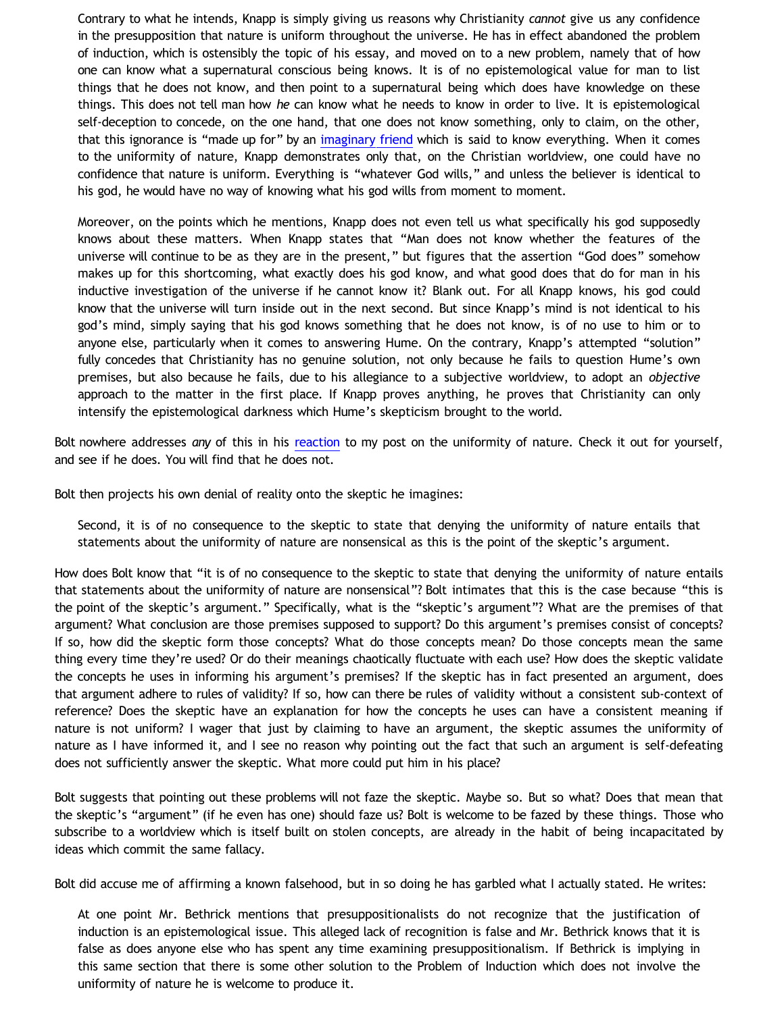Contrary to what he intends, Knapp is simply giving us reasons why Christianity *cannot* give us any confidence in the presupposition that nature is uniform throughout the universe. He has in effect abandoned the problem of induction, which is ostensibly the topic of his essay, and moved on to a new problem, namely that of how one can know what a supernatural conscious being knows. It is of no epistemological value for man to list things that he does not know, and then point to a supernatural being which does have knowledge on these things. This does not tell man how *he* can know what he needs to know in order to live. It is epistemological self-deception to concede, on the one hand, that one does not know something, only to claim, on the other, that this ignorance is "made up for" by an [imaginary friend](http://bahnsenburner.blogspot.com/2006/08/christianity-imaginary-friends-network.html) which is said to know everything. When it comes to the uniformity of nature, Knapp demonstrates only that, on the Christian worldview, one could have no confidence that nature is uniform. Everything is "whatever God wills," and unless the believer is identical to his god, he would have no way of knowing what his god wills from moment to moment.

Moreover, on the points which he mentions, Knapp does not even tell us what specifically his god supposedly knows about these matters. When Knapp states that "Man does not know whether the features of the universe will continue to be as they are in the present," but figures that the assertion "God does" somehow makes up for this shortcoming, what exactly does his god know, and what good does that do for man in his inductive investigation of the universe if he cannot know it? Blank out. For all Knapp knows, his god could know that the universe will turn inside out in the next second. But since Knapp's mind is not identical to his god's mind, simply saying that his god knows something that he does not know, is of no use to him or to anyone else, particularly when it comes to answering Hume. On the contrary, Knapp's attempted "solution" fully concedes that Christianity has no genuine solution, not only because he fails to question Hume's own premises, but also because he fails, due to his allegiance to a subjective worldview, to adopt an *objective* approach to the matter in the first place. If Knapp proves anything, he proves that Christianity can only intensify the epistemological darkness which Hume's skepticism brought to the world.

Bolt nowhere addresses *any* of this in his [reaction](http://www.choosinghats.com/?p=997) to my post on the uniformity of nature. Check it out for yourself, and see if he does. You will find that he does not.

Bolt then projects his own denial of reality onto the skeptic he imagines:

Second, it is of no consequence to the skeptic to state that denying the uniformity of nature entails that statements about the uniformity of nature are nonsensical as this is the point of the skeptic's argument.

How does Bolt know that "it is of no consequence to the skeptic to state that denying the uniformity of nature entails that statements about the uniformity of nature are nonsensical"? Bolt intimates that this is the case because "this is the point of the skeptic's argument." Specifically, what is the "skeptic's argument"? What are the premises of that argument? What conclusion are those premises supposed to support? Do this argument's premises consist of concepts? If so, how did the skeptic form those concepts? What do those concepts mean? Do those concepts mean the same thing every time they're used? Or do their meanings chaotically fluctuate with each use? How does the skeptic validate the concepts he uses in informing his argument's premises? If the skeptic has in fact presented an argument, does that argument adhere to rules of validity? If so, how can there be rules of validity without a consistent sub-context of reference? Does the skeptic have an explanation for how the concepts he uses can have a consistent meaning if nature is not uniform? I wager that just by claiming to have an argument, the skeptic assumes the uniformity of nature as I have informed it, and I see no reason why pointing out the fact that such an argument is self-defeating does not sufficiently answer the skeptic. What more could put him in his place?

Bolt suggests that pointing out these problems will not faze the skeptic. Maybe so. But so what? Does that mean that the skeptic's "argument" (if he even has one) should faze us? Bolt is welcome to be fazed by these things. Those who subscribe to a worldview which is itself built on stolen concepts, are already in the habit of being incapacitated by ideas which commit the same fallacy.

Bolt did accuse me of affirming a known falsehood, but in so doing he has garbled what I actually stated. He writes:

At one point Mr. Bethrick mentions that presuppositionalists do not recognize that the justification of induction is an epistemological issue. This alleged lack of recognition is false and Mr. Bethrick knows that it is false as does anyone else who has spent any time examining presuppositionalism. If Bethrick is implying in this same section that there is some other solution to the Problem of Induction which does not involve the uniformity of nature he is welcome to produce it.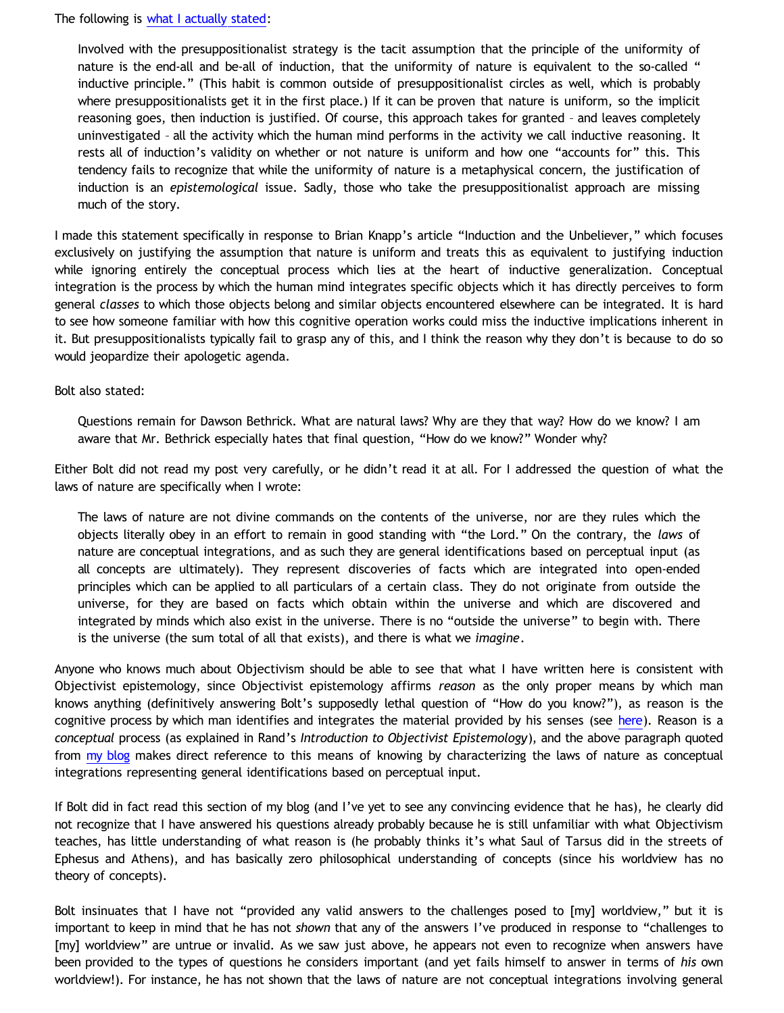The following is [what I actually stated](http://bahnsenburner.blogspot.com/2010/02/uniformity-of-nature.html):

Involved with the presuppositionalist strategy is the tacit assumption that the principle of the uniformity of nature is the end-all and be-all of induction, that the uniformity of nature is equivalent to the so-called " inductive principle." (This habit is common outside of presuppositionalist circles as well, which is probably where presuppositionalists get it in the first place.) If it can be proven that nature is uniform, so the implicit reasoning goes, then induction is justified. Of course, this approach takes for granted – and leaves completely uninvestigated – all the activity which the human mind performs in the activity we call inductive reasoning. It rests all of induction's validity on whether or not nature is uniform and how one "accounts for" this. This tendency fails to recognize that while the uniformity of nature is a metaphysical concern, the justification of induction is an *epistemological* issue. Sadly, those who take the presuppositionalist approach are missing much of the story.

I made this statement specifically in response to Brian Knapp's article "Induction and the Unbeliever," which focuses exclusively on justifying the assumption that nature is uniform and treats this as equivalent to justifying induction while ignoring entirely the conceptual process which lies at the heart of inductive generalization. Conceptual integration is the process by which the human mind integrates specific objects which it has directly perceives to form general *classes* to which those objects belong and similar objects encountered elsewhere can be integrated. It is hard to see how someone familiar with how this cognitive operation works could miss the inductive implications inherent in it. But presuppositionalists typically fail to grasp any of this, and I think the reason why they don't is because to do so would jeopardize their apologetic agenda.

Bolt also stated:

Questions remain for Dawson Bethrick. What are natural laws? Why are they that way? How do we know? I am aware that Mr. Bethrick especially hates that final question, "How do we know?" Wonder why?

Either Bolt did not read my post very carefully, or he didn't read it at all. For I addressed the question of what the laws of nature are specifically when I wrote:

The laws of nature are not divine commands on the contents of the universe, nor are they rules which the objects literally obey in an effort to remain in good standing with "the Lord." On the contrary, the *laws* of nature are conceptual integrations, and as such they are general identifications based on perceptual input (as all concepts are ultimately). They represent discoveries of facts which are integrated into open-ended principles which can be applied to all particulars of a certain class. They do not originate from outside the universe, for they are based on facts which obtain within the universe and which are discovered and integrated by minds which also exist in the universe. There is no "outside the universe" to begin with. There is the universe (the sum total of all that exists), and there is what we *imagine*.

Anyone who knows much about Objectivism should be able to see that what I have written here is consistent with Objectivist epistemology, since Objectivist epistemology affirms *reason* as the only proper means by which man knows anything (definitively answering Bolt's supposedly lethal question of "How do you know?"), as reason is the cognitive process by which man identifies and integrates the material provided by his senses (see [here](http://aynrandlexicon.com/lexicon/reason.html)). Reason is a *conceptual* process (as explained in Rand's *Introduction to Objectivist Epistemology*), and the above paragraph quoted from [my blog](http://bahnsenburner.blogspot.com/2010/02/uniformity-of-nature.html) makes direct reference to this means of knowing by characterizing the laws of nature as conceptual integrations representing general identifications based on perceptual input.

If Bolt did in fact read this section of my blog (and I've yet to see any convincing evidence that he has), he clearly did not recognize that I have answered his questions already probably because he is still unfamiliar with what Objectivism teaches, has little understanding of what reason is (he probably thinks it's what Saul of Tarsus did in the streets of Ephesus and Athens), and has basically zero philosophical understanding of concepts (since his worldview has no theory of concepts).

Bolt insinuates that I have not "provided any valid answers to the challenges posed to [my] worldview," but it is important to keep in mind that he has not *shown* that any of the answers I've produced in response to "challenges to [my] worldview" are untrue or invalid. As we saw just above, he appears not even to recognize when answers have been provided to the types of questions he considers important (and yet fails himself to answer in terms of *his* own worldview!). For instance, he has not shown that the laws of nature are not conceptual integrations involving general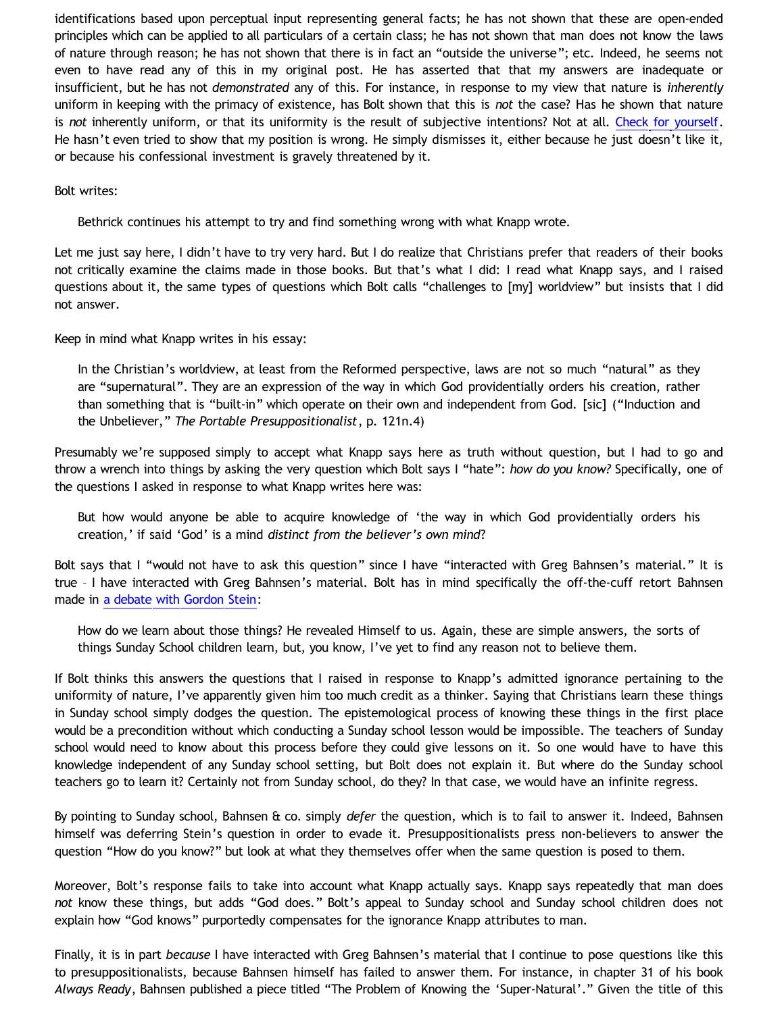identifications based upon perceptual input representing general facts; he has not shown that these are open-ended principles which can be applied to all particulars of a certain class; he has not shown that man does not know the laws of nature through reason; he has not shown that there is in fact an "outside the universe"; etc. Indeed, he seems not even to have read any of this in my original post. He has asserted that that my answers are inadequate or insufficient, but he has not *demonstrated* any of this. For instance, in response to my view that nature is *inherently* uniform in keeping with the primacy of existence, has Bolt shown that this is *not* the case? Has he shown that nature is *not* inherently uniform, or that its uniformity is the result of subjective intentions? Not at all. [Check for yourself.](http://bahnsenburner.blogspot.com/2010/03/bolts-pile-of-knapp-pt-1.html) He hasn't even tried to show that my position is wrong. He simply dismisses it, either because he just doesn't like it, or because his confessional investment is gravely threatened by it.

Bolt writes:

Bethrick continues his attempt to try and find something wrong with what Knapp wrote.

Let me just say here, I didn't have to try very hard. But I do realize that Christians prefer that readers of their books not critically examine the claims made in those books. But that's what I did: I read what Knapp says, and I raised questions about it, the same types of questions which Bolt calls "challenges to [my] worldview" but insists that I did not answer.

Keep in mind what Knapp writes in his essay:

In the Christian's worldview, at least from the Reformed perspective, laws are not so much "natural" as they are "supernatural". They are an expression of the way in which God providentially orders his creation, rather than something that is "built-in" which operate on their own and independent from God. [sic] ("Induction and the Unbeliever," *The Portable Presuppositionalist*, p. 121n.4)

Presumably we're supposed simply to accept what Knapp says here as truth without question, but I had to go and throw a wrench into things by asking the very question which Bolt says I "hate": *how do you know?* Specifically, one of the questions I asked in response to what Knapp writes here was:

But how would anyone be able to acquire knowledge of 'the way in which God providentially orders his creation,' if said 'God' is a mind *distinct from the believer's own mind*?

Bolt says that I "would not have to ask this question" since I have "interacted with Greg Bahnsen's material." It is true – I have interacted with Greg Bahnsen's material. Bolt has in mind specifically the off-the-cuff retort Bahnsen made in [a debate with Gordon Stein](http://www.bellevuechristian.org/faculty/dribera/htdocs/PDFs/Apol_Bahnsen_Stein_Debate_Transcript.pdf):

How do we learn about those things? He revealed Himself to us. Again, these are simple answers, the sorts of things Sunday School children learn, but, you know, I've yet to find any reason not to believe them.

If Bolt thinks this answers the questions that I raised in response to Knapp's admitted ignorance pertaining to the uniformity of nature, I've apparently given him too much credit as a thinker. Saying that Christians learn these things in Sunday school simply dodges the question. The epistemological process of knowing these things in the first place would be a precondition without which conducting a Sunday school lesson would be impossible. The teachers of Sunday school would need to know about this process before they could give lessons on it. So one would have to have this knowledge independent of any Sunday school setting, but Bolt does not explain it. But where do the Sunday school teachers go to learn it? Certainly not from Sunday school, do they? In that case, we would have an infinite regress.

By pointing to Sunday school, Bahnsen & co. simply *defer* the question, which is to fail to answer it. Indeed, Bahnsen himself was deferring Stein's question in order to evade it. Presuppositionalists press non-believers to answer the question "How do you know?" but look at what they themselves offer when the same question is posed to them.

Moreover, Bolt's response fails to take into account what Knapp actually says. Knapp says repeatedly that man does *not* know these things, but adds "God does." Bolt's appeal to Sunday school and Sunday school children does not explain how "God knows" purportedly compensates for the ignorance Knapp attributes to man.

Finally, it is in part *because* I have interacted with Greg Bahnsen's material that I continue to pose questions like this to presuppositionalists, because Bahnsen himself has failed to answer them. For instance, in chapter 31 of his book *Always Ready*, Bahnsen published a piece titled "The Problem of Knowing the 'Super-Natural'." Given the title of this